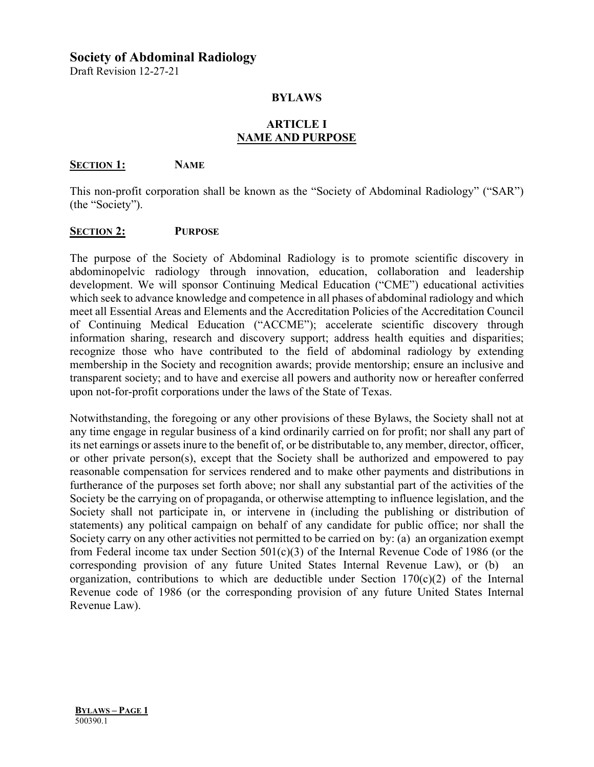## **Society of Abdominal Radiology**

Draft Revision 12-27-21

### **BYLAWS**

### **ARTICLE I NAME AND PURPOSE**

#### **SECTION 1: NAME**

This non-profit corporation shall be known as the "Society of Abdominal Radiology" ("SAR") (the "Society").

### **SECTION 2: PURPOSE**

The purpose of the Society of Abdominal Radiology is to promote scientific discovery in abdominopelvic radiology through innovation, education, collaboration and leadership development. We will sponsor Continuing Medical Education ("CME") educational activities which seek to advance knowledge and competence in all phases of abdominal radiology and which meet all Essential Areas and Elements and the Accreditation Policies of the Accreditation Council of Continuing Medical Education ("ACCME"); accelerate scientific discovery through information sharing, research and discovery support; address health equities and disparities; recognize those who have contributed to the field of abdominal radiology by extending membership in the Society and recognition awards; provide mentorship; ensure an inclusive and transparent society; and to have and exercise all powers and authority now or hereafter conferred upon not-for-profit corporations under the laws of the State of Texas.

Notwithstanding, the foregoing or any other provisions of these Bylaws, the Society shall not at any time engage in regular business of a kind ordinarily carried on for profit; nor shall any part of its net earnings or assets inure to the benefit of, or be distributable to, any member, director, officer, or other private person(s), except that the Society shall be authorized and empowered to pay reasonable compensation for services rendered and to make other payments and distributions in furtherance of the purposes set forth above; nor shall any substantial part of the activities of the Society be the carrying on of propaganda, or otherwise attempting to influence legislation, and the Society shall not participate in, or intervene in (including the publishing or distribution of statements) any political campaign on behalf of any candidate for public office; nor shall the Society carry on any other activities not permitted to be carried on by: (a) an organization exempt from Federal income tax under Section 501(c)(3) of the Internal Revenue Code of 1986 (or the corresponding provision of any future United States Internal Revenue Law), or  $(b)$ organization, contributions to which are deductible under Section  $170(c)(2)$  of the Internal Revenue code of 1986 (or the corresponding provision of any future United States Internal Revenue Law).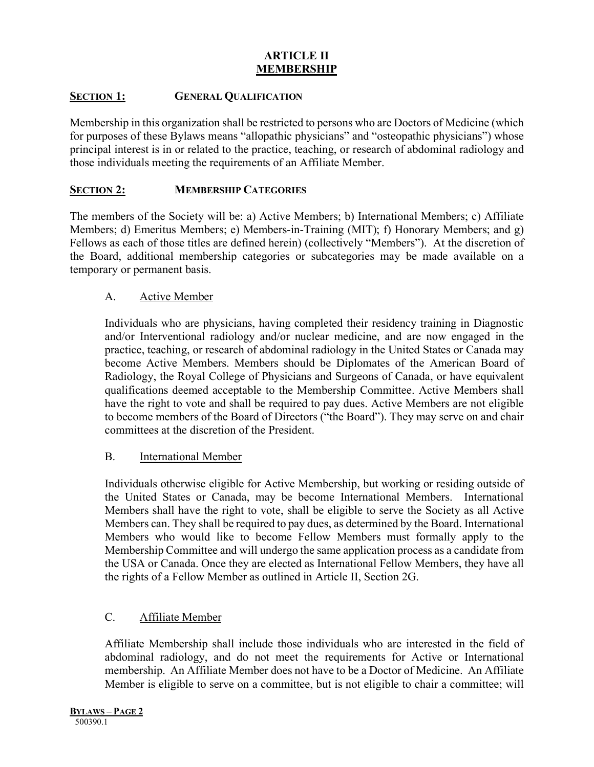## **ARTICLE II MEMBERSHIP**

## **SECTION 1: GENERAL QUALIFICATION**

Membership in this organization shall be restricted to persons who are Doctors of Medicine (which for purposes of these Bylaws means "allopathic physicians" and "osteopathic physicians") whose principal interest is in or related to the practice, teaching, or research of abdominal radiology and those individuals meeting the requirements of an Affiliate Member.

## **SECTION 2: MEMBERSHIP CATEGORIES**

The members of the Society will be: a) Active Members; b) International Members; c) Affiliate Members; d) Emeritus Members; e) Members-in-Training (MIT); f) Honorary Members; and g) Fellows as each of those titles are defined herein) (collectively "Members"). At the discretion of the Board, additional membership categories or subcategories may be made available on a temporary or permanent basis.

### A. Active Member

Individuals who are physicians, having completed their residency training in Diagnostic and/or Interventional radiology and/or nuclear medicine, and are now engaged in the practice, teaching, or research of abdominal radiology in the United States or Canada may become Active Members. Members should be Diplomates of the American Board of Radiology, the Royal College of Physicians and Surgeons of Canada, or have equivalent qualifications deemed acceptable to the Membership Committee. Active Members shall have the right to vote and shall be required to pay dues. Active Members are not eligible to become members of the Board of Directors ("the Board"). They may serve on and chair committees at the discretion of the President.

### B. International Member

Individuals otherwise eligible for Active Membership, but working or residing outside of the United States or Canada, may be become International Members. International Members shall have the right to vote, shall be eligible to serve the Society as all Active Members can. They shall be required to pay dues, as determined by the Board. International Members who would like to become Fellow Members must formally apply to the Membership Committee and will undergo the same application process as a candidate from the USA or Canada. Once they are elected as International Fellow Members, they have all the rights of a Fellow Member as outlined in Article II, Section 2G.

## C. Affiliate Member

Affiliate Membership shall include those individuals who are interested in the field of abdominal radiology, and do not meet the requirements for Active or International membership. An Affiliate Member does not have to be a Doctor of Medicine. An Affiliate Member is eligible to serve on a committee, but is not eligible to chair a committee; will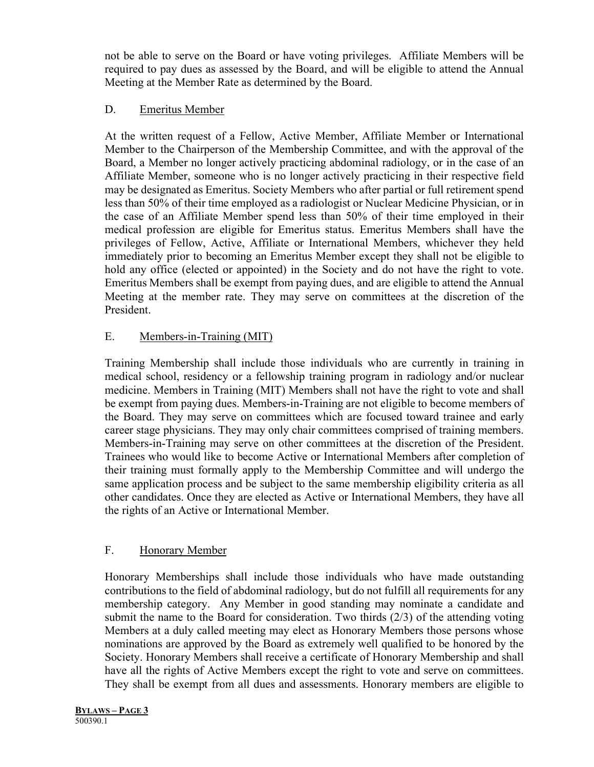not be able to serve on the Board or have voting privileges. Affiliate Members will be required to pay dues as assessed by the Board, and will be eligible to attend the Annual Meeting at the Member Rate as determined by the Board.

# D. Emeritus Member

At the written request of a Fellow, Active Member, Affiliate Member or International Member to the Chairperson of the Membership Committee, and with the approval of the Board, a Member no longer actively practicing abdominal radiology, or in the case of an Affiliate Member, someone who is no longer actively practicing in their respective field may be designated as Emeritus. Society Members who after partial or full retirement spend less than 50% of their time employed as a radiologist or Nuclear Medicine Physician, or in the case of an Affiliate Member spend less than 50% of their time employed in their medical profession are eligible for Emeritus status. Emeritus Members shall have the privileges of Fellow, Active, Affiliate or International Members, whichever they held immediately prior to becoming an Emeritus Member except they shall not be eligible to hold any office (elected or appointed) in the Society and do not have the right to vote. Emeritus Members shall be exempt from paying dues, and are eligible to attend the Annual Meeting at the member rate. They may serve on committees at the discretion of the President.

# E. Members-in-Training (MIT)

Training Membership shall include those individuals who are currently in training in medical school, residency or a fellowship training program in radiology and/or nuclear medicine. Members in Training (MIT) Members shall not have the right to vote and shall be exempt from paying dues. Members-in-Training are not eligible to become members of the Board. They may serve on committees which are focused toward trainee and early career stage physicians. They may only chair committees comprised of training members. Members-in-Training may serve on other committees at the discretion of the President. Trainees who would like to become Active or International Members after completion of their training must formally apply to the Membership Committee and will undergo the same application process and be subject to the same membership eligibility criteria as all other candidates. Once they are elected as Active or International Members, they have all the rights of an Active or International Member.

## F. Honorary Member

Honorary Memberships shall include those individuals who have made outstanding contributions to the field of abdominal radiology, but do not fulfill all requirements for any membership category. Any Member in good standing may nominate a candidate and submit the name to the Board for consideration. Two thirds (2/3) of the attending voting Members at a duly called meeting may elect as Honorary Members those persons whose nominations are approved by the Board as extremely well qualified to be honored by the Society. Honorary Members shall receive a certificate of Honorary Membership and shall have all the rights of Active Members except the right to vote and serve on committees. They shall be exempt from all dues and assessments. Honorary members are eligible to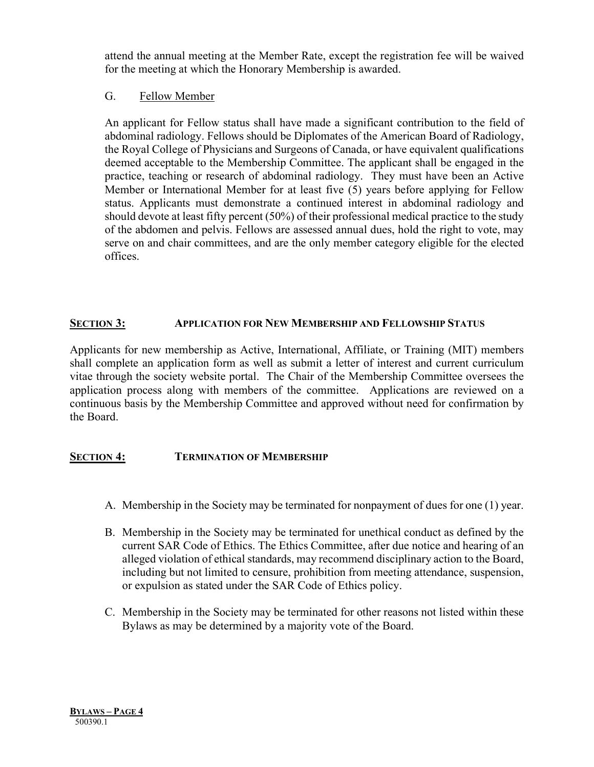attend the annual meeting at the Member Rate, except the registration fee will be waived for the meeting at which the Honorary Membership is awarded.

# G. Fellow Member

An applicant for Fellow status shall have made a significant contribution to the field of abdominal radiology. Fellows should be Diplomates of the American Board of Radiology, the Royal College of Physicians and Surgeons of Canada, or have equivalent qualifications deemed acceptable to the Membership Committee. The applicant shall be engaged in the practice, teaching or research of abdominal radiology. They must have been an Active Member or International Member for at least five (5) years before applying for Fellow status. Applicants must demonstrate a continued interest in abdominal radiology and should devote at least fifty percent (50%) of their professional medical practice to the study of the abdomen and pelvis. Fellows are assessed annual dues, hold the right to vote, may serve on and chair committees, and are the only member category eligible for the elected offices.

# **SECTION 3: APPLICATION FOR NEW MEMBERSHIP AND FELLOWSHIP STATUS**

Applicants for new membership as Active, International, Affiliate, or Training (MIT) members shall complete an application form as well as submit a letter of interest and current curriculum vitae through the society website portal. The Chair of the Membership Committee oversees the application process along with members of the committee. Applications are reviewed on a continuous basis by the Membership Committee and approved without need for confirmation by the Board.

## **SECTION 4: TERMINATION OF MEMBERSHIP**

- A. Membership in the Society may be terminated for nonpayment of dues for one (1) year.
- B. Membership in the Society may be terminated for unethical conduct as defined by the current SAR Code of Ethics. The Ethics Committee, after due notice and hearing of an alleged violation of ethical standards, may recommend disciplinary action to the Board, including but not limited to censure, prohibition from meeting attendance, suspension, or expulsion as stated under the SAR Code of Ethics policy.
- C. Membership in the Society may be terminated for other reasons not listed within these Bylaws as may be determined by a majority vote of the Board.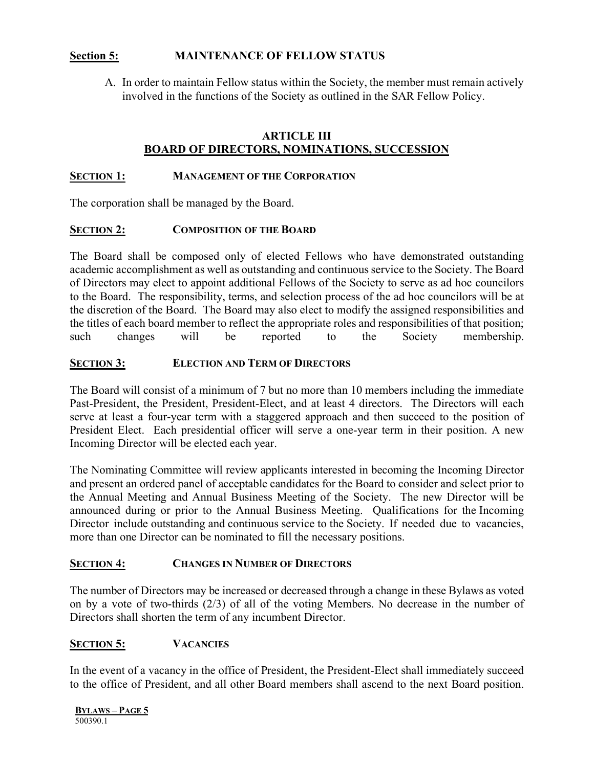## **Section 5: MAINTENANCE OF FELLOW STATUS**

A. In order to maintain Fellow status within the Society, the member must remain actively involved in the functions of the Society as outlined in the SAR Fellow Policy.

## **ARTICLE III BOARD OF DIRECTORS, NOMINATIONS, SUCCESSION**

#### **SECTION 1: MANAGEMENT OF THE CORPORATION**

The corporation shall be managed by the Board.

#### **SECTION 2: COMPOSITION OF THE BOARD**

The Board shall be composed only of elected Fellows who have demonstrated outstanding academic accomplishment as well as outstanding and continuous service to the Society. The Board of Directors may elect to appoint additional Fellows of the Society to serve as ad hoc councilors to the Board. The responsibility, terms, and selection process of the ad hoc councilors will be at the discretion of the Board. The Board may also elect to modify the assigned responsibilities and the titles of each board member to reflect the appropriate roles and responsibilities of that position; such changes will be reported to the Society membership.

### **SECTION 3: ELECTION AND TERM OF DIRECTORS**

The Board will consist of a minimum of 7 but no more than 10 members including the immediate Past-President, the President, President-Elect, and at least 4 directors. The Directors will each serve at least a four-year term with a staggered approach and then succeed to the position of President Elect. Each presidential officer will serve a one-year term in their position. A new Incoming Director will be elected each year.

The Nominating Committee will review applicants interested in becoming the Incoming Director and present an ordered panel of acceptable candidates for the Board to consider and select prior to the Annual Meeting and Annual Business Meeting of the Society. The new Director will be announced during or prior to the Annual Business Meeting. Qualifications for the Incoming Director include outstanding and continuous service to the Society. If needed due to vacancies, more than one Director can be nominated to fill the necessary positions.

### **SECTION 4: CHANGES IN NUMBER OF DIRECTORS**

The number of Directors may be increased or decreased through a change in these Bylaws as voted on by a vote of two-thirds (2/3) of all of the voting Members. No decrease in the number of Directors shall shorten the term of any incumbent Director.

### **SECTION 5: VACANCIES**

In the event of a vacancy in the office of President, the President-Elect shall immediately succeed to the office of President, and all other Board members shall ascend to the next Board position.

**BYLAWS – PAGE 5** 500390.1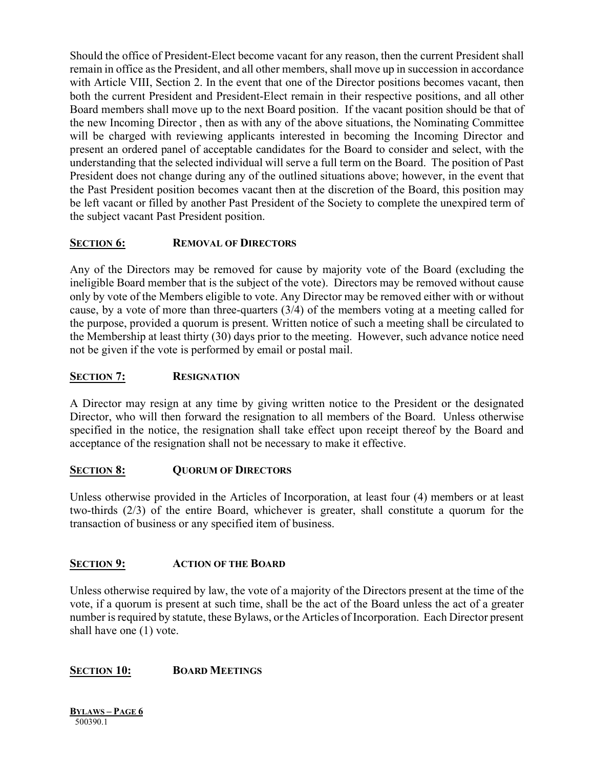Should the office of President-Elect become vacant for any reason, then the current President shall remain in office as the President, and all other members, shall move up in succession in accordance with Article VIII, Section 2. In the event that one of the Director positions becomes vacant, then both the current President and President-Elect remain in their respective positions, and all other Board members shall move up to the next Board position. If the vacant position should be that of the new Incoming Director , then as with any of the above situations, the Nominating Committee will be charged with reviewing applicants interested in becoming the Incoming Director and present an ordered panel of acceptable candidates for the Board to consider and select, with the understanding that the selected individual will serve a full term on the Board. The position of Past President does not change during any of the outlined situations above; however, in the event that the Past President position becomes vacant then at the discretion of the Board, this position may be left vacant or filled by another Past President of the Society to complete the unexpired term of the subject vacant Past President position.

# **SECTION 6: REMOVAL OF DIRECTORS**

Any of the Directors may be removed for cause by majority vote of the Board (excluding the ineligible Board member that is the subject of the vote). Directors may be removed without cause only by vote of the Members eligible to vote. Any Director may be removed either with or without cause, by a vote of more than three-quarters (3/4) of the members voting at a meeting called for the purpose, provided a quorum is present. Written notice of such a meeting shall be circulated to the Membership at least thirty (30) days prior to the meeting. However, such advance notice need not be given if the vote is performed by email or postal mail.

## **SECTION 7: RESIGNATION**

A Director may resign at any time by giving written notice to the President or the designated Director, who will then forward the resignation to all members of the Board. Unless otherwise specified in the notice, the resignation shall take effect upon receipt thereof by the Board and acceptance of the resignation shall not be necessary to make it effective.

## **SECTION 8: QUORUM OF DIRECTORS**

Unless otherwise provided in the Articles of Incorporation, at least four (4) members or at least two-thirds (2/3) of the entire Board, whichever is greater, shall constitute a quorum for the transaction of business or any specified item of business.

## **SECTION 9: ACTION OF THE BOARD**

Unless otherwise required by law, the vote of a majority of the Directors present at the time of the vote, if a quorum is present at such time, shall be the act of the Board unless the act of a greater number is required by statute, these Bylaws, or the Articles of Incorporation. Each Director present shall have one (1) vote.

## **SECTION 10: BOARD MEETINGS**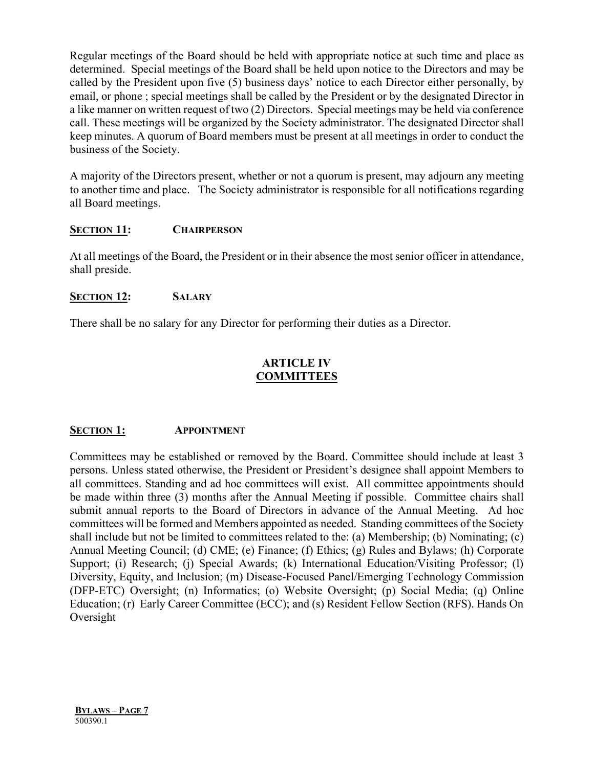Regular meetings of the Board should be held with appropriate notice at such time and place as determined. Special meetings of the Board shall be held upon notice to the Directors and may be called by the President upon five (5) business days' notice to each Director either personally, by email, or phone ; special meetings shall be called by the President or by the designated Director in a like manner on written request of two (2) Directors. Special meetings may be held via conference call. These meetings will be organized by the Society administrator. The designated Director shall keep minutes. A quorum of Board members must be present at all meetings in order to conduct the business of the Society.

A majority of the Directors present, whether or not a quorum is present, may adjourn any meeting to another time and place. The Society administrator is responsible for all notifications regarding all Board meetings.

### **SECTION 11: CHAIRPERSON**

At all meetings of the Board, the President or in their absence the most senior officer in attendance, shall preside.

### **SECTION 12: SALARY**

There shall be no salary for any Director for performing their duties as a Director.

## **ARTICLE IV COMMITTEES**

### **SECTION 1: APPOINTMENT**

Committees may be established or removed by the Board. Committee should include at least 3 persons. Unless stated otherwise, the President or President's designee shall appoint Members to all committees. Standing and ad hoc committees will exist. All committee appointments should be made within three (3) months after the Annual Meeting if possible. Committee chairs shall submit annual reports to the Board of Directors in advance of the Annual Meeting. Ad hoc committees will be formed and Members appointed as needed. Standing committees of the Society shall include but not be limited to committees related to the: (a) Membership; (b) Nominating; (c) Annual Meeting Council; (d) CME; (e) Finance; (f) Ethics; (g) Rules and Bylaws; (h) Corporate Support; (i) Research; (j) Special Awards; (k) International Education/Visiting Professor; (l) Diversity, Equity, and Inclusion; (m) Disease-Focused Panel/Emerging Technology Commission (DFP-ETC) Oversight; (n) Informatics; (o) Website Oversight; (p) Social Media; (q) Online Education; (r) Early Career Committee (ECC); and (s) Resident Fellow Section (RFS). Hands On Oversight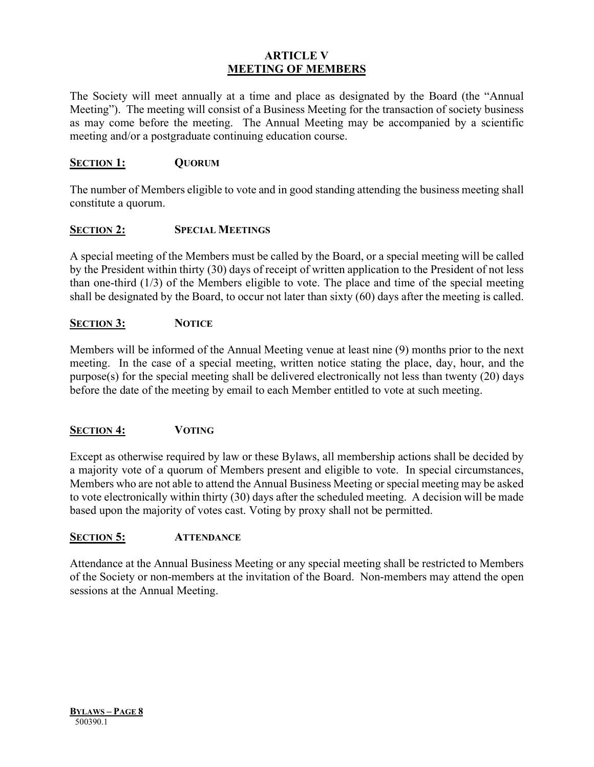## **ARTICLE V MEETING OF MEMBERS**

The Society will meet annually at a time and place as designated by the Board (the "Annual Meeting"). The meeting will consist of a Business Meeting for the transaction of society business as may come before the meeting. The Annual Meeting may be accompanied by a scientific meeting and/or a postgraduate continuing education course.

## **SECTION 1: QUORUM**

The number of Members eligible to vote and in good standing attending the business meeting shall constitute a quorum.

### **SECTION 2: SPECIAL MEETINGS**

A special meeting of the Members must be called by the Board, or a special meeting will be called by the President within thirty (30) days of receipt of written application to the President of not less than one-third (1/3) of the Members eligible to vote. The place and time of the special meeting shall be designated by the Board, to occur not later than sixty (60) days after the meeting is called.

### **SECTION 3: NOTICE**

Members will be informed of the Annual Meeting venue at least nine (9) months prior to the next meeting. In the case of a special meeting, written notice stating the place, day, hour, and the purpose(s) for the special meeting shall be delivered electronically not less than twenty (20) days before the date of the meeting by email to each Member entitled to vote at such meeting.

## **SECTION 4: VOTING**

Except as otherwise required by law or these Bylaws, all membership actions shall be decided by a majority vote of a quorum of Members present and eligible to vote. In special circumstances, Members who are not able to attend the Annual Business Meeting or special meeting may be asked to vote electronically within thirty (30) days after the scheduled meeting. A decision will be made based upon the majority of votes cast. Voting by proxy shall not be permitted.

### **SECTION 5: ATTENDANCE**

Attendance at the Annual Business Meeting or any special meeting shall be restricted to Members of the Society or non-members at the invitation of the Board. Non-members may attend the open sessions at the Annual Meeting.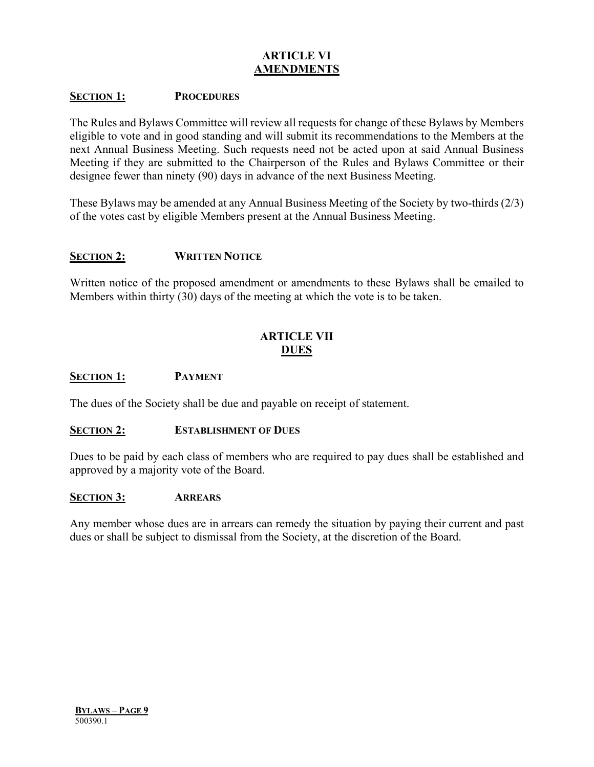# **ARTICLE VI AMENDMENTS**

### **SECTION 1: PROCEDURES**

The Rules and Bylaws Committee will review all requests for change of these Bylaws by Members eligible to vote and in good standing and will submit its recommendations to the Members at the next Annual Business Meeting. Such requests need not be acted upon at said Annual Business Meeting if they are submitted to the Chairperson of the Rules and Bylaws Committee or their designee fewer than ninety (90) days in advance of the next Business Meeting.

These Bylaws may be amended at any Annual Business Meeting of the Society by two-thirds (2/3) of the votes cast by eligible Members present at the Annual Business Meeting.

#### **SECTION 2: WRITTEN NOTICE**

Written notice of the proposed amendment or amendments to these Bylaws shall be emailed to Members within thirty (30) days of the meeting at which the vote is to be taken.

## **ARTICLE VII DUES**

#### **SECTION 1: PAYMENT**

The dues of the Society shall be due and payable on receipt of statement.

#### **SECTION 2: ESTABLISHMENT OF DUES**

Dues to be paid by each class of members who are required to pay dues shall be established and approved by a majority vote of the Board.

#### **SECTION 3: ARREARS**

Any member whose dues are in arrears can remedy the situation by paying their current and past dues or shall be subject to dismissal from the Society, at the discretion of the Board.